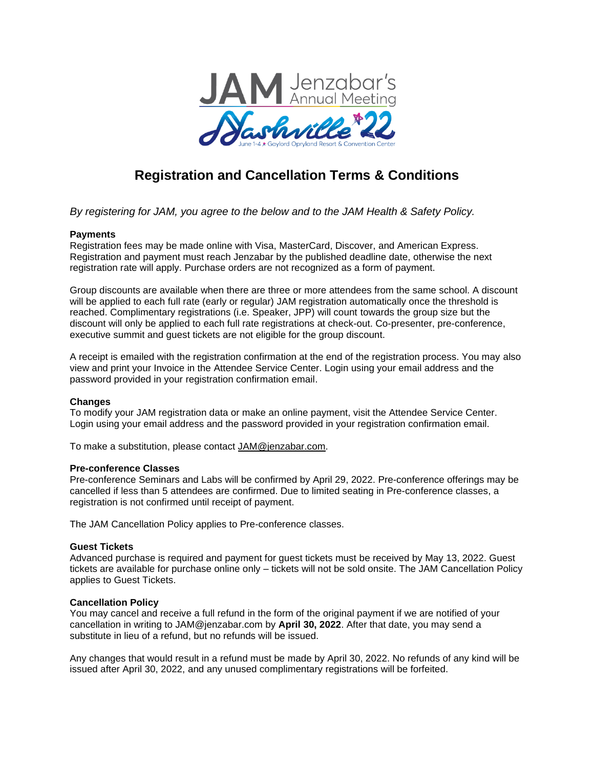

# **Registration and Cancellation Terms & Conditions**

*By registering for JAM, you agree to the below and to the JAM Health & Safety Policy.*

## **Payments**

Registration fees may be made online with Visa, MasterCard, Discover, and American Express. Registration and payment must reach Jenzabar by the published deadline date, otherwise the next registration rate will apply. Purchase orders are not recognized as a form of payment.

Group discounts are available when there are three or more attendees from the same school. A discount will be applied to each full rate (early or regular) JAM registration automatically once the threshold is reached. Complimentary registrations (i.e. Speaker, JPP) will count towards the group size but the discount will only be applied to each full rate registrations at check-out. Co-presenter, pre-conference, executive summit and guest tickets are not eligible for the group discount.

A receipt is emailed with the registration confirmation at the end of the registration process. You may also view and print your Invoice in the Attendee Service Center. Login using your email address and the password provided in your registration confirmation email.

## **Changes**

To modify your JAM registration data or make an online payment, visit the Attendee Service Center. Login using your email address and the password provided in your registration confirmation email.

To make a substitution, please contact [JAM@jenzabar.com.](mailto:JAM@jenzabar.com)

## **Pre-conference Classes**

Pre-conference Seminars and Labs will be confirmed by April 29, 2022. Pre-conference offerings may be cancelled if less than 5 attendees are confirmed. Due to limited seating in Pre-conference classes, a registration is not confirmed until receipt of payment.

The JAM Cancellation Policy applies to Pre-conference classes.

## **Guest Tickets**

Advanced purchase is required and payment for guest tickets must be received by May 13, 2022. Guest tickets are available for purchase online only – tickets will not be sold onsite. The JAM Cancellation Policy applies to Guest Tickets.

## **Cancellation Policy**

You may cancel and receive a full refund in the form of the original payment if we are notified of your cancellation in writing to JAM@jenzabar.com by **April 30, 2022**. After that date, you may send a substitute in lieu of a refund, but no refunds will be issued.

Any changes that would result in a refund must be made by April 30, 2022. No refunds of any kind will be issued after April 30, 2022, and any unused complimentary registrations will be forfeited.